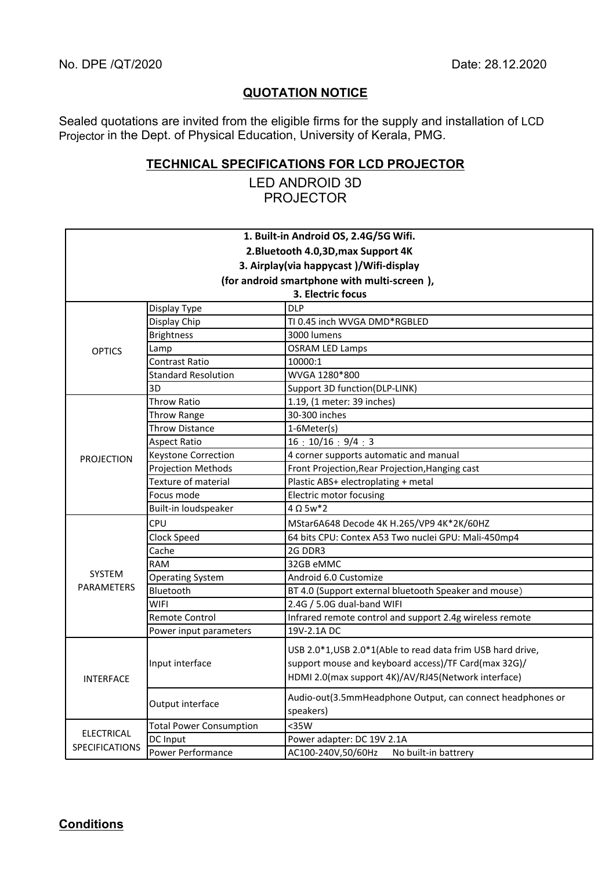## **QUOTATION NOTICE**

Sealed quotations are invited from the eligible firms for the supply and installation of LCD Projector in the Dept. of Physical Education, University of Kerala, PMG.

## **TECHNICAL SPECIFICATIONS FOR LCD PROJECTOR**

LED ANDROID 3D PROJECTOR

|                                            |                                | 1. Built-in Android OS, 2.4G/5G Wifi.                                                                                                                                      |
|--------------------------------------------|--------------------------------|----------------------------------------------------------------------------------------------------------------------------------------------------------------------------|
|                                            |                                | 2. Bluetooth 4.0, 3D, max Support 4K                                                                                                                                       |
| 3. Airplay (via happycast)/Wifi-display    |                                |                                                                                                                                                                            |
|                                            |                                | (for android smartphone with multi-screen),                                                                                                                                |
|                                            |                                | 3. Electric focus                                                                                                                                                          |
| <b>OPTICS</b>                              | Display Type                   | <b>DLP</b>                                                                                                                                                                 |
|                                            | Display Chip                   | TI 0.45 inch WVGA DMD*RGBLED                                                                                                                                               |
|                                            | <b>Brightness</b>              | 3000 lumens                                                                                                                                                                |
|                                            | Lamp                           | <b>OSRAM LED Lamps</b>                                                                                                                                                     |
|                                            | <b>Contrast Ratio</b>          | 10000:1                                                                                                                                                                    |
|                                            | <b>Standard Resolution</b>     | WVGA 1280*800                                                                                                                                                              |
|                                            | 3D                             | Support 3D function(DLP-LINK)                                                                                                                                              |
| <b>PROJECTION</b>                          | <b>Throw Ratio</b>             | 1.19, (1 meter: 39 inches)                                                                                                                                                 |
|                                            | Throw Range                    | 30-300 inches                                                                                                                                                              |
|                                            | Throw Distance                 | 1-6Meter(s)                                                                                                                                                                |
|                                            | <b>Aspect Ratio</b>            | 16:10/16:9/4:3                                                                                                                                                             |
|                                            | <b>Keystone Correction</b>     | 4 corner supports automatic and manual                                                                                                                                     |
|                                            | Projection Methods             | Front Projection, Rear Projection, Hanging cast                                                                                                                            |
|                                            | <b>Texture of material</b>     | Plastic ABS+ electroplating + metal                                                                                                                                        |
|                                            | Focus mode                     | Electric motor focusing                                                                                                                                                    |
|                                            | Built-in loudspeaker           | $4 \Omega 5w*2$                                                                                                                                                            |
| <b>SYSTEM</b><br><b>PARAMETERS</b>         | CPU                            | MStar6A648 Decode 4K H.265/VP9 4K*2K/60HZ                                                                                                                                  |
|                                            | Clock Speed                    | 64 bits CPU: Contex A53 Two nuclei GPU: Mali-450mp4                                                                                                                        |
|                                            | Cache                          | 2G DDR3                                                                                                                                                                    |
|                                            | <b>RAM</b>                     | 32GB eMMC                                                                                                                                                                  |
|                                            | <b>Operating System</b>        | Android 6.0 Customize                                                                                                                                                      |
|                                            | Bluetooth                      | BT 4.0 (Support external bluetooth Speaker and mouse)                                                                                                                      |
|                                            | <b>WIFI</b>                    | 2.4G / 5.0G dual-band WIFI                                                                                                                                                 |
|                                            | <b>Remote Control</b>          | Infrared remote control and support 2.4g wireless remote                                                                                                                   |
|                                            | Power input parameters         | 19V-2.1A DC                                                                                                                                                                |
| <b>INTERFACE</b>                           | Input interface                | USB 2.0*1, USB 2.0*1(Able to read data frim USB hard drive,<br>support mouse and keyboard access)/TF Card(max 32G)/<br>HDMI 2.0(max support 4K)/AV/RJ45(Network interface) |
|                                            | Output interface               | Audio-out(3.5mmHeadphone Output, can connect headphones or<br>speakers)                                                                                                    |
| <b>ELECTRICAL</b><br><b>SPECIFICATIONS</b> | <b>Total Power Consumption</b> | $35W$                                                                                                                                                                      |
|                                            | DC Input                       | Power adapter: DC 19V 2.1A                                                                                                                                                 |
|                                            | Power Performance              | AC100-240V,50/60Hz<br>No built-in battrery                                                                                                                                 |

**Conditions**